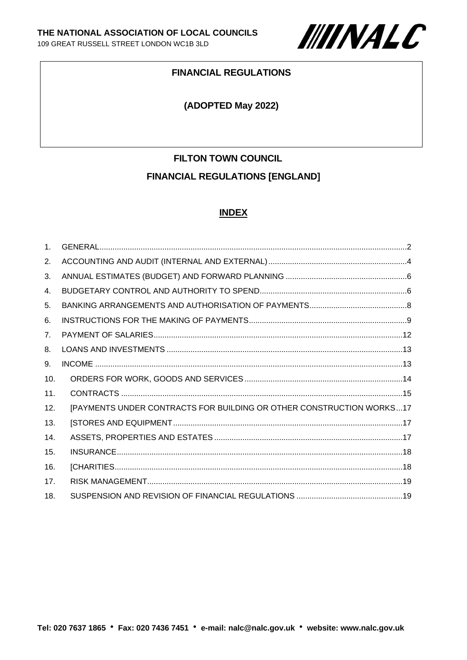

#### **FINANCIAL REGULATIONS**

#### **(ADOPTED May 2022)**

# **FILTON TOWN COUNCIL FINANCIAL REGULATIONS [ENGLAND]**

## **INDEX**

| 1 <sub>1</sub>  |                                                                      |
|-----------------|----------------------------------------------------------------------|
| 2.              |                                                                      |
| 3.              |                                                                      |
| 4.              |                                                                      |
| 5.              |                                                                      |
| 6.              |                                                                      |
| 7 <sub>1</sub>  |                                                                      |
| 8.              |                                                                      |
| 9.              |                                                                      |
| 10.             |                                                                      |
| 11.             |                                                                      |
| 12.             | [PAYMENTS UNDER CONTRACTS FOR BUILDING OR OTHER CONSTRUCTION WORKS17 |
| 13.             |                                                                      |
| 14.             |                                                                      |
| 15.             |                                                                      |
| 16.             |                                                                      |
| 17 <sub>1</sub> |                                                                      |
| 18.             |                                                                      |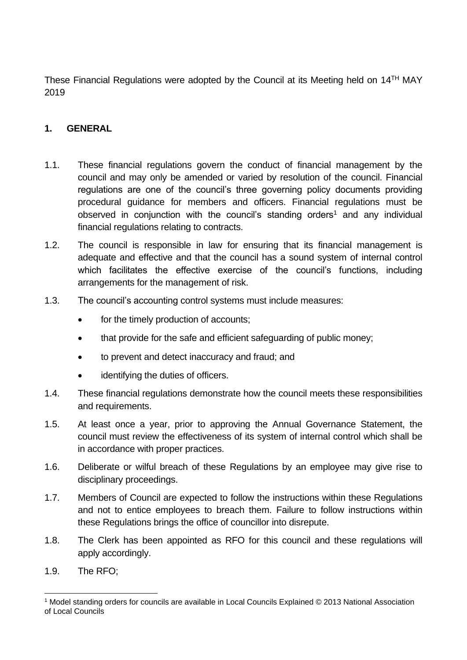These Financial Regulations were adopted by the Council at its Meeting held on  $14<sup>TH</sup>$  MAY 2019

## <span id="page-1-0"></span>**1. GENERAL**

- 1.1. These financial regulations govern the conduct of financial management by the council and may only be amended or varied by resolution of the council. Financial regulations are one of the council's three governing policy documents providing procedural guidance for members and officers. Financial regulations must be observed in conjunction with the council's standing orders<sup>1</sup> and any individual financial regulations relating to contracts.
- 1.2. The council is responsible in law for ensuring that its financial management is adequate and effective and that the council has a sound system of internal control which facilitates the effective exercise of the council's functions, including arrangements for the management of risk.
- 1.3. The council's accounting control systems must include measures:
	- for the timely production of accounts;
	- that provide for the safe and efficient safeguarding of public money;
	- to prevent and detect inaccuracy and fraud; and
	- identifying the duties of officers.
- 1.4. These financial regulations demonstrate how the council meets these responsibilities and requirements.
- 1.5. At least once a year, prior to approving the Annual Governance Statement, the council must review the effectiveness of its system of internal control which shall be in accordance with proper practices.
- 1.6. Deliberate or wilful breach of these Regulations by an employee may give rise to disciplinary proceedings.
- 1.7. Members of Council are expected to follow the instructions within these Regulations and not to entice employees to breach them. Failure to follow instructions within these Regulations brings the office of councillor into disrepute.
- 1.8. The Clerk has been appointed as RFO for this council and these regulations will apply accordingly.
- 1.9. The RFO;

<sup>1</sup> Model standing orders for councils are available in Local Councils Explained © 2013 National Association of Local Councils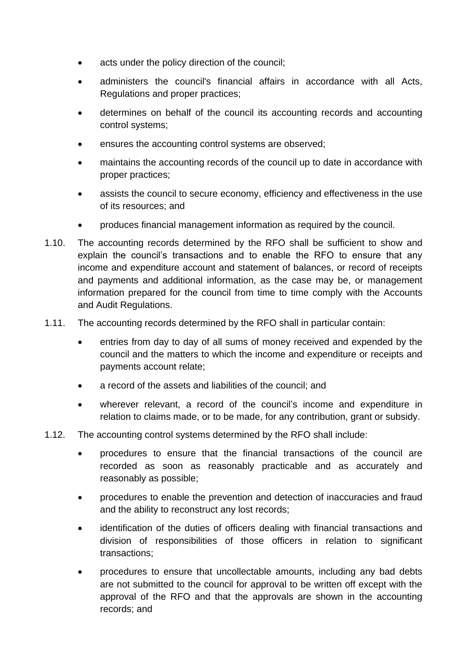- acts under the policy direction of the council;
- administers the council's financial affairs in accordance with all Acts, Regulations and proper practices;
- determines on behalf of the council its accounting records and accounting control systems;
- ensures the accounting control systems are observed;
- maintains the accounting records of the council up to date in accordance with proper practices;
- assists the council to secure economy, efficiency and effectiveness in the use of its resources; and
- produces financial management information as required by the council.
- 1.10. The accounting records determined by the RFO shall be sufficient to show and explain the council's transactions and to enable the RFO to ensure that any income and expenditure account and statement of balances, or record of receipts and payments and additional information, as the case may be, or management information prepared for the council from time to time comply with the Accounts and Audit Regulations.
- 1.11. The accounting records determined by the RFO shall in particular contain:
	- entries from day to day of all sums of money received and expended by the council and the matters to which the income and expenditure or receipts and payments account relate;
	- a record of the assets and liabilities of the council; and
	- wherever relevant, a record of the council's income and expenditure in relation to claims made, or to be made, for any contribution, grant or subsidy.
- 1.12. The accounting control systems determined by the RFO shall include:
	- procedures to ensure that the financial transactions of the council are recorded as soon as reasonably practicable and as accurately and reasonably as possible;
	- procedures to enable the prevention and detection of inaccuracies and fraud and the ability to reconstruct any lost records;
	- identification of the duties of officers dealing with financial transactions and division of responsibilities of those officers in relation to significant transactions;
	- procedures to ensure that uncollectable amounts, including any bad debts are not submitted to the council for approval to be written off except with the approval of the RFO and that the approvals are shown in the accounting records; and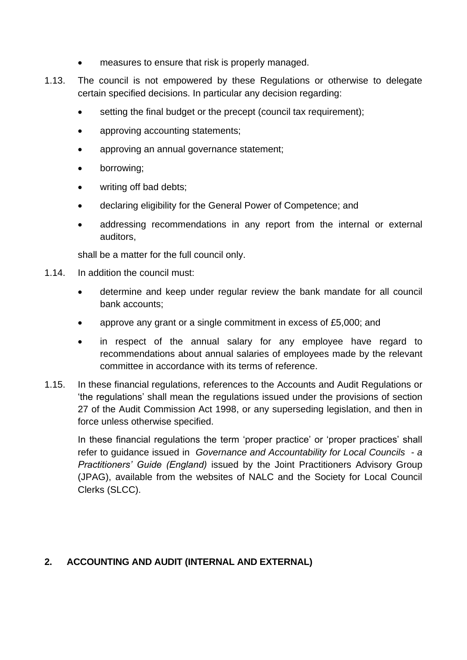- measures to ensure that risk is properly managed.
- 1.13. The council is not empowered by these Regulations or otherwise to delegate certain specified decisions. In particular any decision regarding:
	- setting the final budget or the precept (council tax requirement);
	- approving accounting statements;
	- approving an annual governance statement;
	- borrowing;
	- writing off bad debts:
	- declaring eligibility for the General Power of Competence; and
	- addressing recommendations in any report from the internal or external auditors,

shall be a matter for the full council only.

- 1.14. In addition the council must:
	- determine and keep under regular review the bank mandate for all council bank accounts;
	- approve any grant or a single commitment in excess of £5,000; and
	- in respect of the annual salary for any employee have regard to recommendations about annual salaries of employees made by the relevant committee in accordance with its terms of reference.
- 1.15. In these financial regulations, references to the Accounts and Audit Regulations or 'the regulations' shall mean the regulations issued under the provisions of section 27 of the Audit Commission Act 1998, or any superseding legislation, and then in force unless otherwise specified.

In these financial regulations the term 'proper practice' or 'proper practices' shall refer to guidance issued in *Governance and Accountability for Local Councils - a Practitioners' Guide (England)* issued by the Joint Practitioners Advisory Group (JPAG), available from the websites of NALC and the Society for Local Council Clerks (SLCC).

## <span id="page-3-0"></span>**2. ACCOUNTING AND AUDIT (INTERNAL AND EXTERNAL)**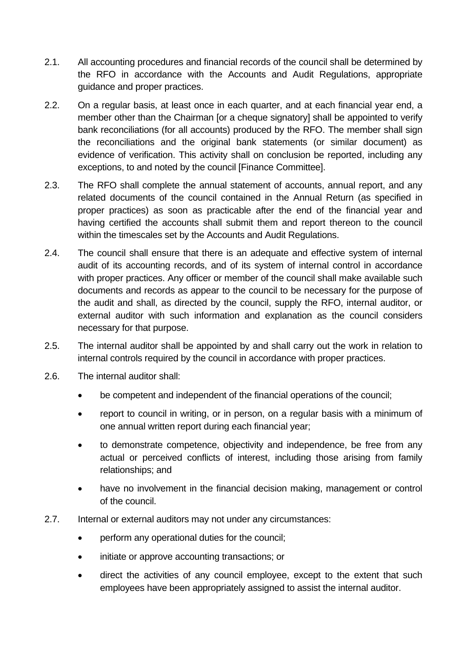- 2.1. All accounting procedures and financial records of the council shall be determined by the RFO in accordance with the Accounts and Audit Regulations, appropriate guidance and proper practices.
- 2.2. On a regular basis, at least once in each quarter, and at each financial year end, a member other than the Chairman [or a cheque signatory] shall be appointed to verify bank reconciliations (for all accounts) produced by the RFO. The member shall sign the reconciliations and the original bank statements (or similar document) as evidence of verification. This activity shall on conclusion be reported, including any exceptions, to and noted by the council [Finance Committee].
- 2.3. The RFO shall complete the annual statement of accounts, annual report, and any related documents of the council contained in the Annual Return (as specified in proper practices) as soon as practicable after the end of the financial year and having certified the accounts shall submit them and report thereon to the council within the timescales set by the Accounts and Audit Regulations.
- 2.4. The council shall ensure that there is an adequate and effective system of internal audit of its accounting records, and of its system of internal control in accordance with proper practices. Any officer or member of the council shall make available such documents and records as appear to the council to be necessary for the purpose of the audit and shall, as directed by the council, supply the RFO, internal auditor, or external auditor with such information and explanation as the council considers necessary for that purpose.
- 2.5. The internal auditor shall be appointed by and shall carry out the work in relation to internal controls required by the council in accordance with proper practices.
- 2.6. The internal auditor shall:
	- be competent and independent of the financial operations of the council;
	- report to council in writing, or in person, on a regular basis with a minimum of one annual written report during each financial year;
	- to demonstrate competence, objectivity and independence, be free from any actual or perceived conflicts of interest, including those arising from family relationships; and
	- have no involvement in the financial decision making, management or control of the council.
- 2.7. Internal or external auditors may not under any circumstances:
	- perform any operational duties for the council;
	- initiate or approve accounting transactions; or
	- direct the activities of any council employee, except to the extent that such employees have been appropriately assigned to assist the internal auditor.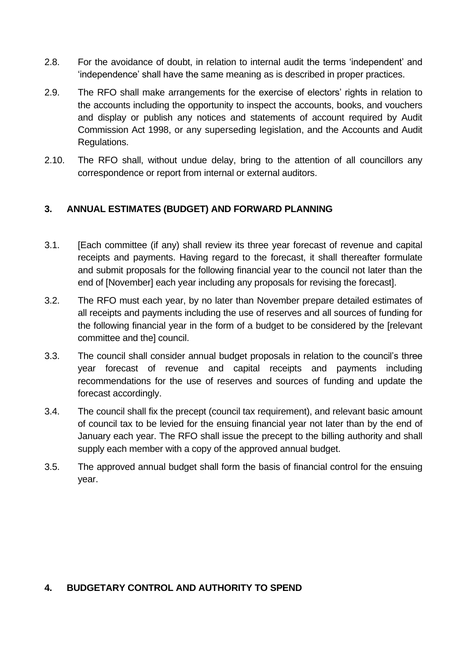- 2.8. For the avoidance of doubt, in relation to internal audit the terms 'independent' and 'independence' shall have the same meaning as is described in proper practices.
- 2.9. The RFO shall make arrangements for the exercise of electors' rights in relation to the accounts including the opportunity to inspect the accounts, books, and vouchers and display or publish any notices and statements of account required by Audit Commission Act 1998, or any superseding legislation, and the Accounts and Audit Regulations.
- 2.10. The RFO shall, without undue delay, bring to the attention of all councillors any correspondence or report from internal or external auditors.

# <span id="page-5-0"></span>**3. ANNUAL ESTIMATES (BUDGET) AND FORWARD PLANNING**

- 3.1. [Each committee (if any) shall review its three year forecast of revenue and capital receipts and payments. Having regard to the forecast, it shall thereafter formulate and submit proposals for the following financial year to the council not later than the end of [November] each year including any proposals for revising the forecast].
- 3.2. The RFO must each year, by no later than November prepare detailed estimates of all receipts and payments including the use of reserves and all sources of funding for the following financial year in the form of a budget to be considered by the [relevant committee and the] council.
- 3.3. The council shall consider annual budget proposals in relation to the council's three year forecast of revenue and capital receipts and payments including recommendations for the use of reserves and sources of funding and update the forecast accordingly.
- 3.4. The council shall fix the precept (council tax requirement), and relevant basic amount of council tax to be levied for the ensuing financial year not later than by the end of January each year. The RFO shall issue the precept to the billing authority and shall supply each member with a copy of the approved annual budget.
- 3.5. The approved annual budget shall form the basis of financial control for the ensuing year.

## <span id="page-5-1"></span>**4. BUDGETARY CONTROL AND AUTHORITY TO SPEND**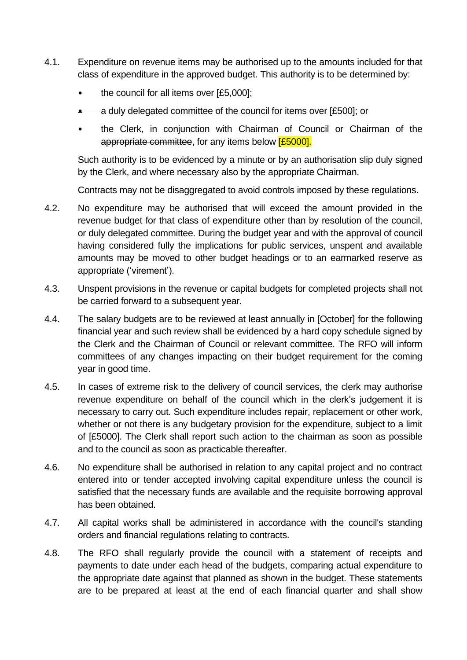- 4.1. Expenditure on revenue items may be authorised up to the amounts included for that class of expenditure in the approved budget. This authority is to be determined by:
	- the council for all items over [£5,000];
	- a duly delegated committee of the council for items over [£500]; or
	- the Clerk, in conjunction with Chairman of Council or Chairman of the appropriate committee, for any items below **[£5000].**

Such authority is to be evidenced by a minute or by an authorisation slip duly signed by the Clerk, and where necessary also by the appropriate Chairman.

Contracts may not be disaggregated to avoid controls imposed by these regulations.

- 4.2. No expenditure may be authorised that will exceed the amount provided in the revenue budget for that class of expenditure other than by resolution of the council, or duly delegated committee. During the budget year and with the approval of council having considered fully the implications for public services, unspent and available amounts may be moved to other budget headings or to an earmarked reserve as appropriate ('virement').
- 4.3. Unspent provisions in the revenue or capital budgets for completed projects shall not be carried forward to a subsequent year.
- 4.4. The salary budgets are to be reviewed at least annually in [October] for the following financial year and such review shall be evidenced by a hard copy schedule signed by the Clerk and the Chairman of Council or relevant committee. The RFO will inform committees of any changes impacting on their budget requirement for the coming year in good time.
- 4.5. In cases of extreme risk to the delivery of council services, the clerk may authorise revenue expenditure on behalf of the council which in the clerk's judgement it is necessary to carry out. Such expenditure includes repair, replacement or other work, whether or not there is any budgetary provision for the expenditure, subject to a limit of [£5000]. The Clerk shall report such action to the chairman as soon as possible and to the council as soon as practicable thereafter.
- 4.6. No expenditure shall be authorised in relation to any capital project and no contract entered into or tender accepted involving capital expenditure unless the council is satisfied that the necessary funds are available and the requisite borrowing approval has been obtained.
- 4.7. All capital works shall be administered in accordance with the council's standing orders and financial regulations relating to contracts.
- 4.8. The RFO shall regularly provide the council with a statement of receipts and payments to date under each head of the budgets, comparing actual expenditure to the appropriate date against that planned as shown in the budget. These statements are to be prepared at least at the end of each financial quarter and shall show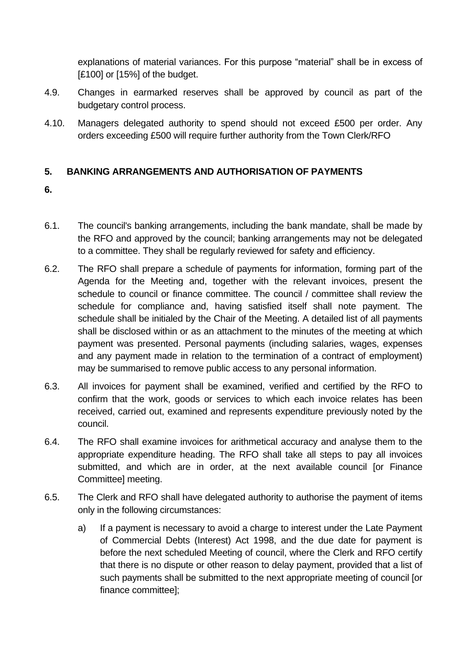explanations of material variances. For this purpose "material" shall be in excess of [£100] or [15%] of the budget.

- 4.9. Changes in earmarked reserves shall be approved by council as part of the budgetary control process.
- 4.10. Managers delegated authority to spend should not exceed £500 per order. Any orders exceeding £500 will require further authority from the Town Clerk/RFO

# <span id="page-7-0"></span>**5. BANKING ARRANGEMENTS AND AUTHORISATION OF PAYMENTS**

- **6.**
- 6.1. The council's banking arrangements, including the bank mandate, shall be made by the RFO and approved by the council; banking arrangements may not be delegated to a committee. They shall be regularly reviewed for safety and efficiency.
- 6.2. The RFO shall prepare a schedule of payments for information, forming part of the Agenda for the Meeting and, together with the relevant invoices, present the schedule to council or finance committee. The council / committee shall review the schedule for compliance and, having satisfied itself shall note payment. The schedule shall be initialed by the Chair of the Meeting. A detailed list of all payments shall be disclosed within or as an attachment to the minutes of the meeting at which payment was presented. Personal payments (including salaries, wages, expenses and any payment made in relation to the termination of a contract of employment) may be summarised to remove public access to any personal information.
- 6.3. All invoices for payment shall be examined, verified and certified by the RFO to confirm that the work, goods or services to which each invoice relates has been received, carried out, examined and represents expenditure previously noted by the council.
- 6.4. The RFO shall examine invoices for arithmetical accuracy and analyse them to the appropriate expenditure heading. The RFO shall take all steps to pay all invoices submitted, and which are in order, at the next available council [or Finance Committee] meeting.
- 6.5. The Clerk and RFO shall have delegated authority to authorise the payment of items only in the following circumstances:
	- a) If a payment is necessary to avoid a charge to interest under the Late Payment of Commercial Debts (Interest) Act 1998, and the due date for payment is before the next scheduled Meeting of council, where the Clerk and RFO certify that there is no dispute or other reason to delay payment, provided that a list of such payments shall be submitted to the next appropriate meeting of council [or finance committee];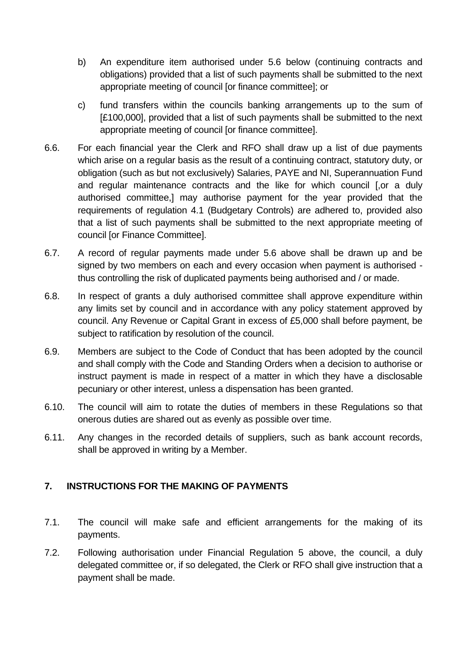- b) An expenditure item authorised under 5.6 below (continuing contracts and obligations) provided that a list of such payments shall be submitted to the next appropriate meeting of council [or finance committee]; or
- c) fund transfers within the councils banking arrangements up to the sum of [£100,000], provided that a list of such payments shall be submitted to the next appropriate meeting of council [or finance committee].
- 6.6. For each financial year the Clerk and RFO shall draw up a list of due payments which arise on a regular basis as the result of a continuing contract, statutory duty, or obligation (such as but not exclusively) Salaries, PAYE and NI, Superannuation Fund and regular maintenance contracts and the like for which council [,or a duly authorised committee,] may authorise payment for the year provided that the requirements of regulation 4.1 (Budgetary Controls) are adhered to, provided also that a list of such payments shall be submitted to the next appropriate meeting of council [or Finance Committee].
- 6.7. A record of regular payments made under 5.6 above shall be drawn up and be signed by two members on each and every occasion when payment is authorised thus controlling the risk of duplicated payments being authorised and / or made.
- 6.8. In respect of grants a duly authorised committee shall approve expenditure within any limits set by council and in accordance with any policy statement approved by council. Any Revenue or Capital Grant in excess of £5,000 shall before payment, be subject to ratification by resolution of the council.
- 6.9. Members are subject to the Code of Conduct that has been adopted by the council and shall comply with the Code and Standing Orders when a decision to authorise or instruct payment is made in respect of a matter in which they have a disclosable pecuniary or other interest, unless a dispensation has been granted.
- 6.10. The council will aim to rotate the duties of members in these Regulations so that onerous duties are shared out as evenly as possible over time.
- 6.11. Any changes in the recorded details of suppliers, such as bank account records, shall be approved in writing by a Member.

# <span id="page-8-0"></span>**7. INSTRUCTIONS FOR THE MAKING OF PAYMENTS**

- 7.1. The council will make safe and efficient arrangements for the making of its payments.
- 7.2. Following authorisation under Financial Regulation 5 above, the council, a duly delegated committee or, if so delegated, the Clerk or RFO shall give instruction that a payment shall be made.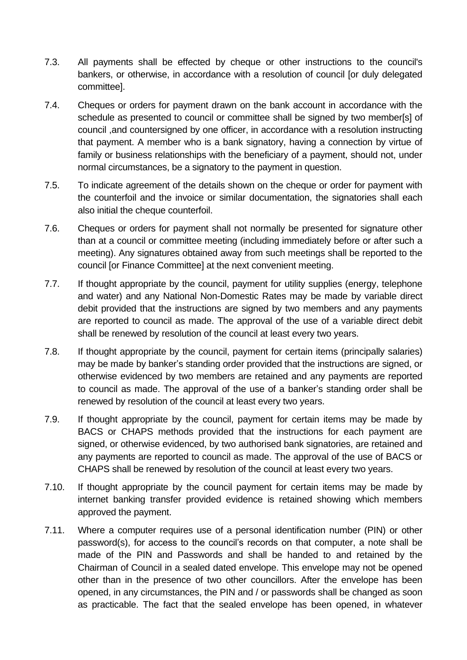- 7.3. All payments shall be effected by cheque or other instructions to the council's bankers, or otherwise, in accordance with a resolution of council [or duly delegated committee].
- 7.4. Cheques or orders for payment drawn on the bank account in accordance with the schedule as presented to council or committee shall be signed by two member[s] of council ,and countersigned by one officer, in accordance with a resolution instructing that payment. A member who is a bank signatory, having a connection by virtue of family or business relationships with the beneficiary of a payment, should not, under normal circumstances, be a signatory to the payment in question.
- 7.5. To indicate agreement of the details shown on the cheque or order for payment with the counterfoil and the invoice or similar documentation, the signatories shall each also initial the cheque counterfoil.
- 7.6. Cheques or orders for payment shall not normally be presented for signature other than at a council or committee meeting (including immediately before or after such a meeting). Any signatures obtained away from such meetings shall be reported to the council [or Finance Committee] at the next convenient meeting.
- 7.7. If thought appropriate by the council, payment for utility supplies (energy, telephone and water) and any National Non-Domestic Rates may be made by variable direct debit provided that the instructions are signed by two members and any payments are reported to council as made. The approval of the use of a variable direct debit shall be renewed by resolution of the council at least every two years.
- 7.8. If thought appropriate by the council, payment for certain items (principally salaries) may be made by banker's standing order provided that the instructions are signed, or otherwise evidenced by two members are retained and any payments are reported to council as made. The approval of the use of a banker's standing order shall be renewed by resolution of the council at least every two years.
- 7.9. If thought appropriate by the council, payment for certain items may be made by BACS or CHAPS methods provided that the instructions for each payment are signed, or otherwise evidenced, by two authorised bank signatories, are retained and any payments are reported to council as made. The approval of the use of BACS or CHAPS shall be renewed by resolution of the council at least every two years.
- 7.10. If thought appropriate by the council payment for certain items may be made by internet banking transfer provided evidence is retained showing which members approved the payment.
- 7.11. Where a computer requires use of a personal identification number (PIN) or other password(s), for access to the council's records on that computer, a note shall be made of the PIN and Passwords and shall be handed to and retained by the Chairman of Council in a sealed dated envelope. This envelope may not be opened other than in the presence of two other councillors. After the envelope has been opened, in any circumstances, the PIN and / or passwords shall be changed as soon as practicable. The fact that the sealed envelope has been opened, in whatever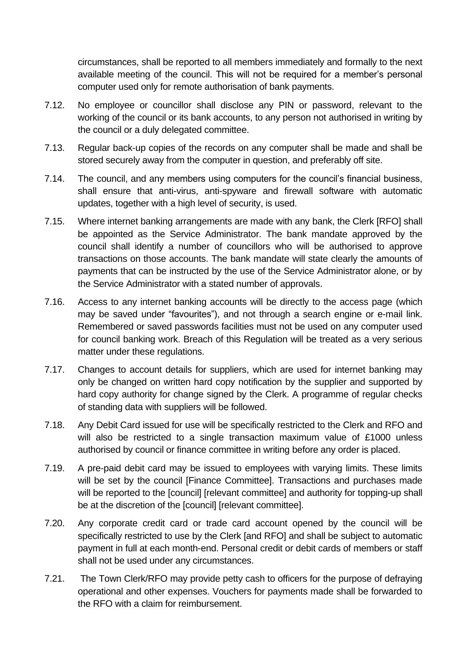circumstances, shall be reported to all members immediately and formally to the next available meeting of the council. This will not be required for a member's personal computer used only for remote authorisation of bank payments.

- 7.12. No employee or councillor shall disclose any PIN or password, relevant to the working of the council or its bank accounts, to any person not authorised in writing by the council or a duly delegated committee.
- 7.13. Regular back-up copies of the records on any computer shall be made and shall be stored securely away from the computer in question, and preferably off site.
- 7.14. The council, and any members using computers for the council's financial business, shall ensure that anti-virus, anti-spyware and firewall software with automatic updates, together with a high level of security, is used.
- 7.15. Where internet banking arrangements are made with any bank, the Clerk [RFO] shall be appointed as the Service Administrator. The bank mandate approved by the council shall identify a number of councillors who will be authorised to approve transactions on those accounts. The bank mandate will state clearly the amounts of payments that can be instructed by the use of the Service Administrator alone, or by the Service Administrator with a stated number of approvals.
- 7.16. Access to any internet banking accounts will be directly to the access page (which may be saved under "favourites"), and not through a search engine or e-mail link. Remembered or saved passwords facilities must not be used on any computer used for council banking work. Breach of this Regulation will be treated as a very serious matter under these regulations.
- 7.17. Changes to account details for suppliers, which are used for internet banking may only be changed on written hard copy notification by the supplier and supported by hard copy authority for change signed by the Clerk. A programme of regular checks of standing data with suppliers will be followed.
- 7.18. Any Debit Card issued for use will be specifically restricted to the Clerk and RFO and will also be restricted to a single transaction maximum value of £1000 unless authorised by council or finance committee in writing before any order is placed.
- 7.19. A pre-paid debit card may be issued to employees with varying limits. These limits will be set by the council [Finance Committee]. Transactions and purchases made will be reported to the [council] [relevant committee] and authority for topping-up shall be at the discretion of the [council] [relevant committee].
- 7.20. Any corporate credit card or trade card account opened by the council will be specifically restricted to use by the Clerk [and RFO] and shall be subject to automatic payment in full at each month-end. Personal credit or debit cards of members or staff shall not be used under any circumstances.
- 7.21. The Town Clerk/RFO may provide petty cash to officers for the purpose of defraying operational and other expenses. Vouchers for payments made shall be forwarded to the RFO with a claim for reimbursement.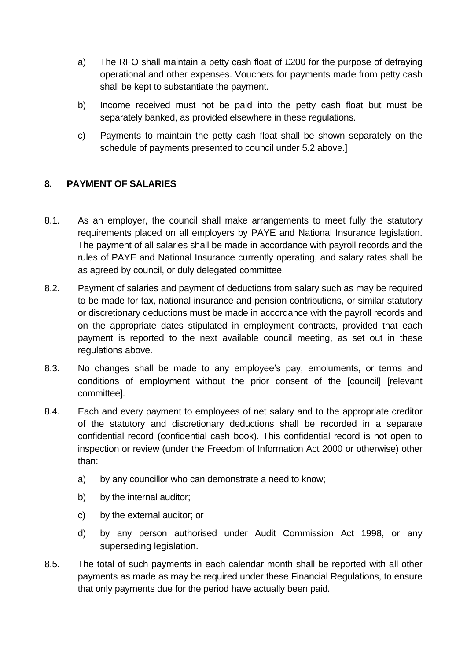- a) The RFO shall maintain a petty cash float of £200 for the purpose of defraying operational and other expenses. Vouchers for payments made from petty cash shall be kept to substantiate the payment.
- b) Income received must not be paid into the petty cash float but must be separately banked, as provided elsewhere in these regulations.
- c) Payments to maintain the petty cash float shall be shown separately on the schedule of payments presented to council under 5.2 above.]

# <span id="page-11-0"></span>**8. PAYMENT OF SALARIES**

- 8.1. As an employer, the council shall make arrangements to meet fully the statutory requirements placed on all employers by PAYE and National Insurance legislation. The payment of all salaries shall be made in accordance with payroll records and the rules of PAYE and National Insurance currently operating, and salary rates shall be as agreed by council, or duly delegated committee.
- 8.2. Payment of salaries and payment of deductions from salary such as may be required to be made for tax, national insurance and pension contributions, or similar statutory or discretionary deductions must be made in accordance with the payroll records and on the appropriate dates stipulated in employment contracts, provided that each payment is reported to the next available council meeting, as set out in these regulations above.
- 8.3. No changes shall be made to any employee's pay, emoluments, or terms and conditions of employment without the prior consent of the [council] [relevant committee].
- 8.4. Each and every payment to employees of net salary and to the appropriate creditor of the statutory and discretionary deductions shall be recorded in a separate confidential record (confidential cash book). This confidential record is not open to inspection or review (under the Freedom of Information Act 2000 or otherwise) other than:
	- a) by any councillor who can demonstrate a need to know;
	- b) by the internal auditor;
	- c) by the external auditor; or
	- d) by any person authorised under Audit Commission Act 1998, or any superseding legislation.
- 8.5. The total of such payments in each calendar month shall be reported with all other payments as made as may be required under these Financial Regulations, to ensure that only payments due for the period have actually been paid.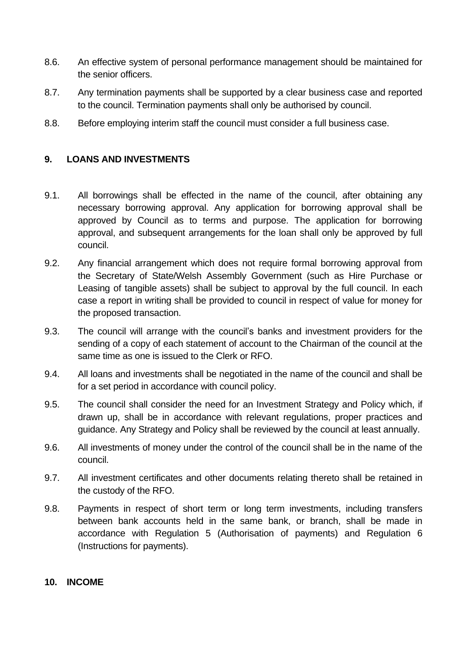- 8.6. An effective system of personal performance management should be maintained for the senior officers.
- 8.7. Any termination payments shall be supported by a clear business case and reported to the council. Termination payments shall only be authorised by council.
- 8.8. Before employing interim staff the council must consider a full business case.

## <span id="page-12-0"></span>**9. LOANS AND INVESTMENTS**

- 9.1. All borrowings shall be effected in the name of the council, after obtaining any necessary borrowing approval. Any application for borrowing approval shall be approved by Council as to terms and purpose. The application for borrowing approval, and subsequent arrangements for the loan shall only be approved by full council.
- 9.2. Any financial arrangement which does not require formal borrowing approval from the Secretary of State/Welsh Assembly Government (such as Hire Purchase or Leasing of tangible assets) shall be subject to approval by the full council. In each case a report in writing shall be provided to council in respect of value for money for the proposed transaction.
- 9.3. The council will arrange with the council's banks and investment providers for the sending of a copy of each statement of account to the Chairman of the council at the same time as one is issued to the Clerk or RFO.
- 9.4. All loans and investments shall be negotiated in the name of the council and shall be for a set period in accordance with council policy.
- 9.5. The council shall consider the need for an Investment Strategy and Policy which, if drawn up, shall be in accordance with relevant regulations, proper practices and guidance. Any Strategy and Policy shall be reviewed by the council at least annually.
- 9.6. All investments of money under the control of the council shall be in the name of the council.
- 9.7. All investment certificates and other documents relating thereto shall be retained in the custody of the RFO.
- 9.8. Payments in respect of short term or long term investments, including transfers between bank accounts held in the same bank, or branch, shall be made in accordance with Regulation 5 (Authorisation of payments) and Regulation 6 (Instructions for payments).

#### <span id="page-12-1"></span>**10. INCOME**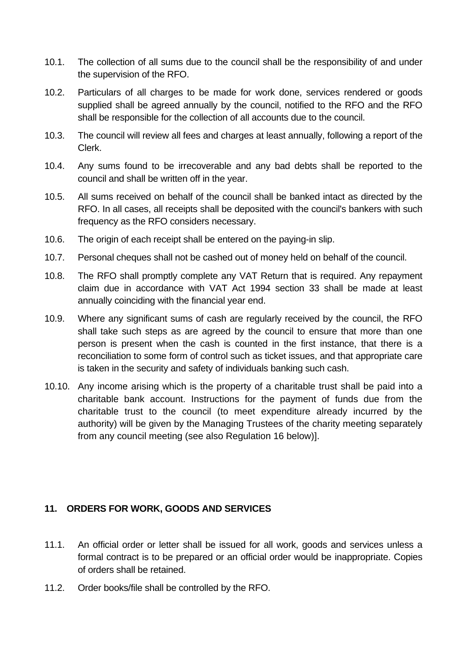- 10.1. The collection of all sums due to the council shall be the responsibility of and under the supervision of the RFO.
- 10.2. Particulars of all charges to be made for work done, services rendered or goods supplied shall be agreed annually by the council, notified to the RFO and the RFO shall be responsible for the collection of all accounts due to the council.
- 10.3. The council will review all fees and charges at least annually, following a report of the Clerk.
- 10.4. Any sums found to be irrecoverable and any bad debts shall be reported to the council and shall be written off in the year.
- 10.5. All sums received on behalf of the council shall be banked intact as directed by the RFO. In all cases, all receipts shall be deposited with the council's bankers with such frequency as the RFO considers necessary.
- 10.6. The origin of each receipt shall be entered on the paying-in slip.
- 10.7. Personal cheques shall not be cashed out of money held on behalf of the council.
- 10.8. The RFO shall promptly complete any VAT Return that is required. Any repayment claim due in accordance with VAT Act 1994 section 33 shall be made at least annually coinciding with the financial year end.
- 10.9. Where any significant sums of cash are regularly received by the council, the RFO shall take such steps as are agreed by the council to ensure that more than one person is present when the cash is counted in the first instance, that there is a reconciliation to some form of control such as ticket issues, and that appropriate care is taken in the security and safety of individuals banking such cash.
- 10.10. Any income arising which is the property of a charitable trust shall be paid into a charitable bank account. Instructions for the payment of funds due from the charitable trust to the council (to meet expenditure already incurred by the authority) will be given by the Managing Trustees of the charity meeting separately from any council meeting (see also Regulation 16 below)].

## <span id="page-13-0"></span>**11. ORDERS FOR WORK, GOODS AND SERVICES**

- 11.1. An official order or letter shall be issued for all work, goods and services unless a formal contract is to be prepared or an official order would be inappropriate. Copies of orders shall be retained.
- 11.2. Order books/file shall be controlled by the RFO.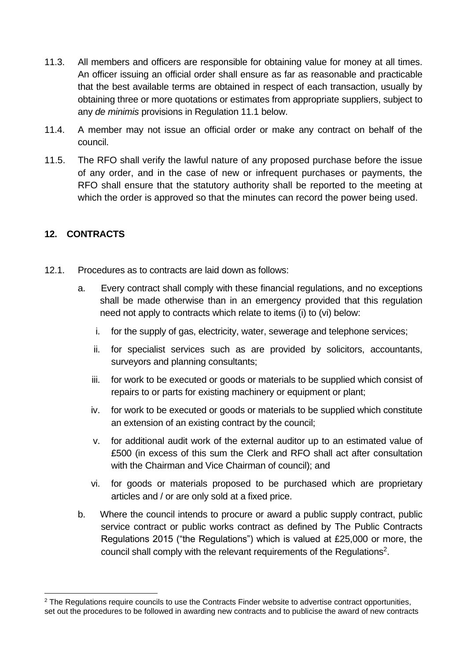- 11.3. All members and officers are responsible for obtaining value for money at all times. An officer issuing an official order shall ensure as far as reasonable and practicable that the best available terms are obtained in respect of each transaction, usually by obtaining three or more quotations or estimates from appropriate suppliers, subject to any *de minimis* provisions in Regulation 11.1 below.
- 11.4. A member may not issue an official order or make any contract on behalf of the council.
- 11.5. The RFO shall verify the lawful nature of any proposed purchase before the issue of any order, and in the case of new or infrequent purchases or payments, the RFO shall ensure that the statutory authority shall be reported to the meeting at which the order is approved so that the minutes can record the power being used.

# <span id="page-14-0"></span>**12. CONTRACTS**

- 12.1. Procedures as to contracts are laid down as follows:
	- a. Every contract shall comply with these financial regulations, and no exceptions shall be made otherwise than in an emergency provided that this regulation need not apply to contracts which relate to items (i) to (vi) below:
		- i. for the supply of gas, electricity, water, sewerage and telephone services;
		- ii. for specialist services such as are provided by solicitors, accountants, surveyors and planning consultants;
		- iii. for work to be executed or goods or materials to be supplied which consist of repairs to or parts for existing machinery or equipment or plant;
		- iv. for work to be executed or goods or materials to be supplied which constitute an extension of an existing contract by the council;
		- v. for additional audit work of the external auditor up to an estimated value of £500 (in excess of this sum the Clerk and RFO shall act after consultation with the Chairman and Vice Chairman of council); and
		- vi. for goods or materials proposed to be purchased which are proprietary articles and / or are only sold at a fixed price.
	- b. Where the council intends to procure or award a public supply contract, public service contract or public works contract as defined by The Public Contracts Regulations 2015 ("the Regulations") which is valued at £25,000 or more, the council shall comply with the relevant requirements of the Regulations<sup>2</sup>.

<sup>&</sup>lt;sup>2</sup> The Regulations require councils to use the Contracts Finder website to advertise contract opportunities, set out the procedures to be followed in awarding new contracts and to publicise the award of new contracts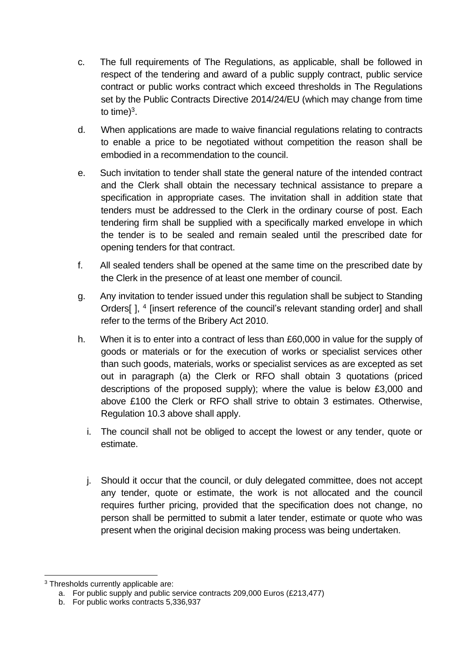- c. The full requirements of The Regulations, as applicable, shall be followed in respect of the tendering and award of a public supply contract, public service contract or public works contract which exceed thresholds in The Regulations set by the Public Contracts Directive 2014/24/EU (which may change from time to time) $3$ .
- d. When applications are made to waive financial regulations relating to contracts to enable a price to be negotiated without competition the reason shall be embodied in a recommendation to the council.
- e. Such invitation to tender shall state the general nature of the intended contract and the Clerk shall obtain the necessary technical assistance to prepare a specification in appropriate cases. The invitation shall in addition state that tenders must be addressed to the Clerk in the ordinary course of post. Each tendering firm shall be supplied with a specifically marked envelope in which the tender is to be sealed and remain sealed until the prescribed date for opening tenders for that contract.
- f. All sealed tenders shall be opened at the same time on the prescribed date by the Clerk in the presence of at least one member of council.
- g. Any invitation to tender issued under this regulation shall be subject to Standing Orders[], <sup>4</sup> [insert reference of the council's relevant standing order] and shall refer to the terms of the Bribery Act 2010.
- h. When it is to enter into a contract of less than £60,000 in value for the supply of goods or materials or for the execution of works or specialist services other than such goods, materials, works or specialist services as are excepted as set out in paragraph (a) the Clerk or RFO shall obtain 3 quotations (priced descriptions of the proposed supply); where the value is below £3,000 and above £100 the Clerk or RFO shall strive to obtain 3 estimates. Otherwise, Regulation 10.3 above shall apply.
	- i. The council shall not be obliged to accept the lowest or any tender, quote or estimate.
	- j. Should it occur that the council, or duly delegated committee, does not accept any tender, quote or estimate, the work is not allocated and the council requires further pricing, provided that the specification does not change, no person shall be permitted to submit a later tender, estimate or quote who was present when the original decision making process was being undertaken.

<sup>3</sup> Thresholds currently applicable are:

a. For public supply and public service contracts 209,000 Euros (£213,477)

b. For public works contracts 5,336,937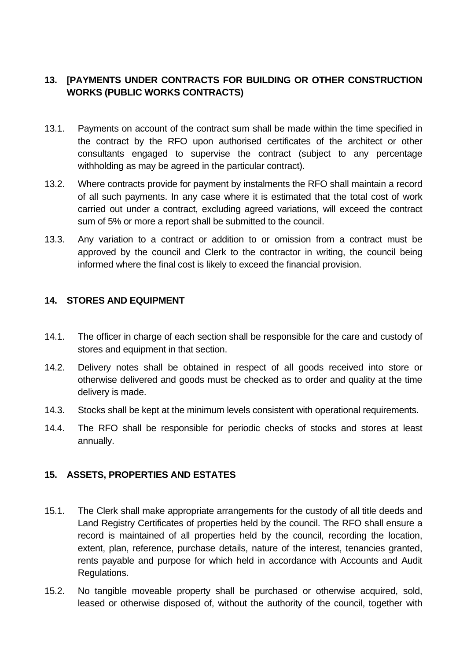# <span id="page-16-0"></span>**13. [PAYMENTS UNDER CONTRACTS FOR BUILDING OR OTHER CONSTRUCTION WORKS (PUBLIC WORKS CONTRACTS)**

- 13.1. Payments on account of the contract sum shall be made within the time specified in the contract by the RFO upon authorised certificates of the architect or other consultants engaged to supervise the contract (subject to any percentage withholding as may be agreed in the particular contract).
- 13.2. Where contracts provide for payment by instalments the RFO shall maintain a record of all such payments. In any case where it is estimated that the total cost of work carried out under a contract, excluding agreed variations, will exceed the contract sum of 5% or more a report shall be submitted to the council.
- 13.3. Any variation to a contract or addition to or omission from a contract must be approved by the council and Clerk to the contractor in writing, the council being informed where the final cost is likely to exceed the financial provision.

## <span id="page-16-1"></span>**14. STORES AND EQUIPMENT**

- 14.1. The officer in charge of each section shall be responsible for the care and custody of stores and equipment in that section.
- 14.2. Delivery notes shall be obtained in respect of all goods received into store or otherwise delivered and goods must be checked as to order and quality at the time delivery is made.
- 14.3. Stocks shall be kept at the minimum levels consistent with operational requirements.
- 14.4. The RFO shall be responsible for periodic checks of stocks and stores at least annually.

## <span id="page-16-2"></span>**15. ASSETS, PROPERTIES AND ESTATES**

- 15.1. The Clerk shall make appropriate arrangements for the custody of all title deeds and Land Registry Certificates of properties held by the council. The RFO shall ensure a record is maintained of all properties held by the council, recording the location, extent, plan, reference, purchase details, nature of the interest, tenancies granted, rents payable and purpose for which held in accordance with Accounts and Audit Regulations.
- 15.2. No tangible moveable property shall be purchased or otherwise acquired, sold, leased or otherwise disposed of, without the authority of the council, together with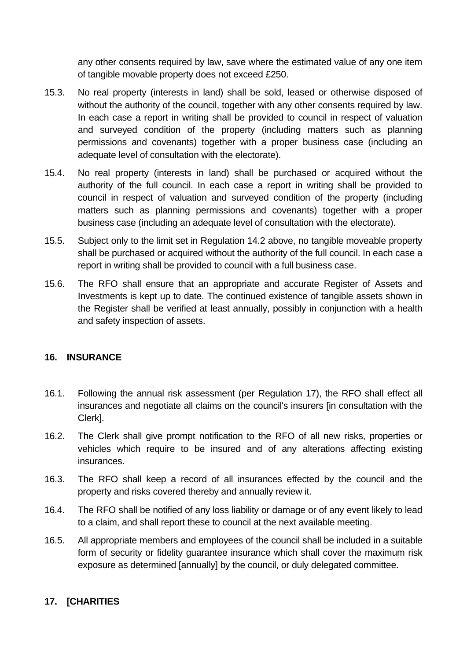any other consents required by law, save where the estimated value of any one item of tangible movable property does not exceed £250.

- 15.3. No real property (interests in land) shall be sold, leased or otherwise disposed of without the authority of the council, together with any other consents required by law. In each case a report in writing shall be provided to council in respect of valuation and surveyed condition of the property (including matters such as planning permissions and covenants) together with a proper business case (including an adequate level of consultation with the electorate).
- 15.4. No real property (interests in land) shall be purchased or acquired without the authority of the full council. In each case a report in writing shall be provided to council in respect of valuation and surveyed condition of the property (including matters such as planning permissions and covenants) together with a proper business case (including an adequate level of consultation with the electorate).
- 15.5. Subject only to the limit set in Regulation 14.2 above, no tangible moveable property shall be purchased or acquired without the authority of the full council. In each case a report in writing shall be provided to council with a full business case.
- 15.6. The RFO shall ensure that an appropriate and accurate Register of Assets and Investments is kept up to date. The continued existence of tangible assets shown in the Register shall be verified at least annually, possibly in conjunction with a health and safety inspection of assets.

## <span id="page-17-0"></span>**16. INSURANCE**

- 16.1. Following the annual risk assessment (per Regulation 17), the RFO shall effect all insurances and negotiate all claims on the council's insurers [in consultation with the Clerk].
- 16.2. The Clerk shall give prompt notification to the RFO of all new risks, properties or vehicles which require to be insured and of any alterations affecting existing insurances.
- 16.3. The RFO shall keep a record of all insurances effected by the council and the property and risks covered thereby and annually review it.
- 16.4. The RFO shall be notified of any loss liability or damage or of any event likely to lead to a claim, and shall report these to council at the next available meeting.
- 16.5. All appropriate members and employees of the council shall be included in a suitable form of security or fidelity guarantee insurance which shall cover the maximum risk exposure as determined [annually] by the council, or duly delegated committee.

## <span id="page-17-1"></span>**17. [CHARITIES**